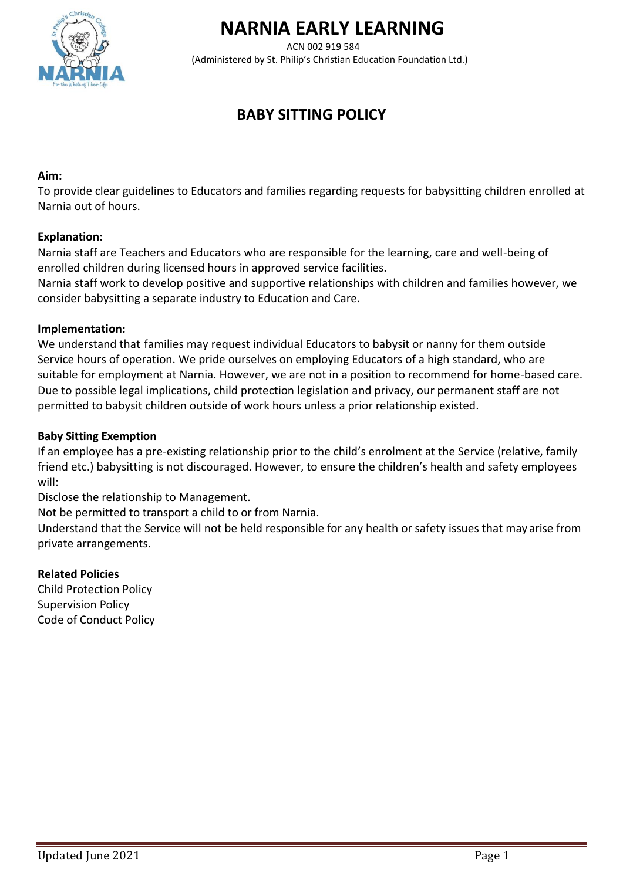

# **NARNIA EARLY LEARNING**

ACN 002 919 584 (Administered by St. Philip's Christian Education Foundation Ltd.)

# **BABY SITTING POLICY**

#### **Aim:**

To provide clear guidelines to Educators and families regarding requests for babysitting children enrolled at Narnia out of hours.

#### **Explanation:**

Narnia staff are Teachers and Educators who are responsible for the learning, care and well-being of enrolled children during licensed hours in approved service facilities.

Narnia staff work to develop positive and supportive relationships with children and families however, we consider babysitting a separate industry to Education and Care.

#### **Implementation:**

We understand that families may request individual Educators to babysit or nanny for them outside Service hours of operation. We pride ourselves on employing Educators of a high standard, who are suitable for employment at Narnia. However, we are not in a position to recommend for home-based care. Due to possible legal implications, child protection legislation and privacy, our permanent staff are not permitted to babysit children outside of work hours unless a prior relationship existed.

#### **Baby Sitting Exemption**

If an employee has a pre-existing relationship prior to the child's enrolment at the Service (relative, family friend etc.) babysitting is not discouraged. However, to ensure the children's health and safety employees will:

Disclose the relationship to Management.

Not be permitted to transport a child to or from Narnia.

Understand that the Service will not be held responsible for any health or safety issues that may arise from private arrangements.

#### **Related Policies**

Child Protection Policy Supervision Policy Code of Conduct Policy